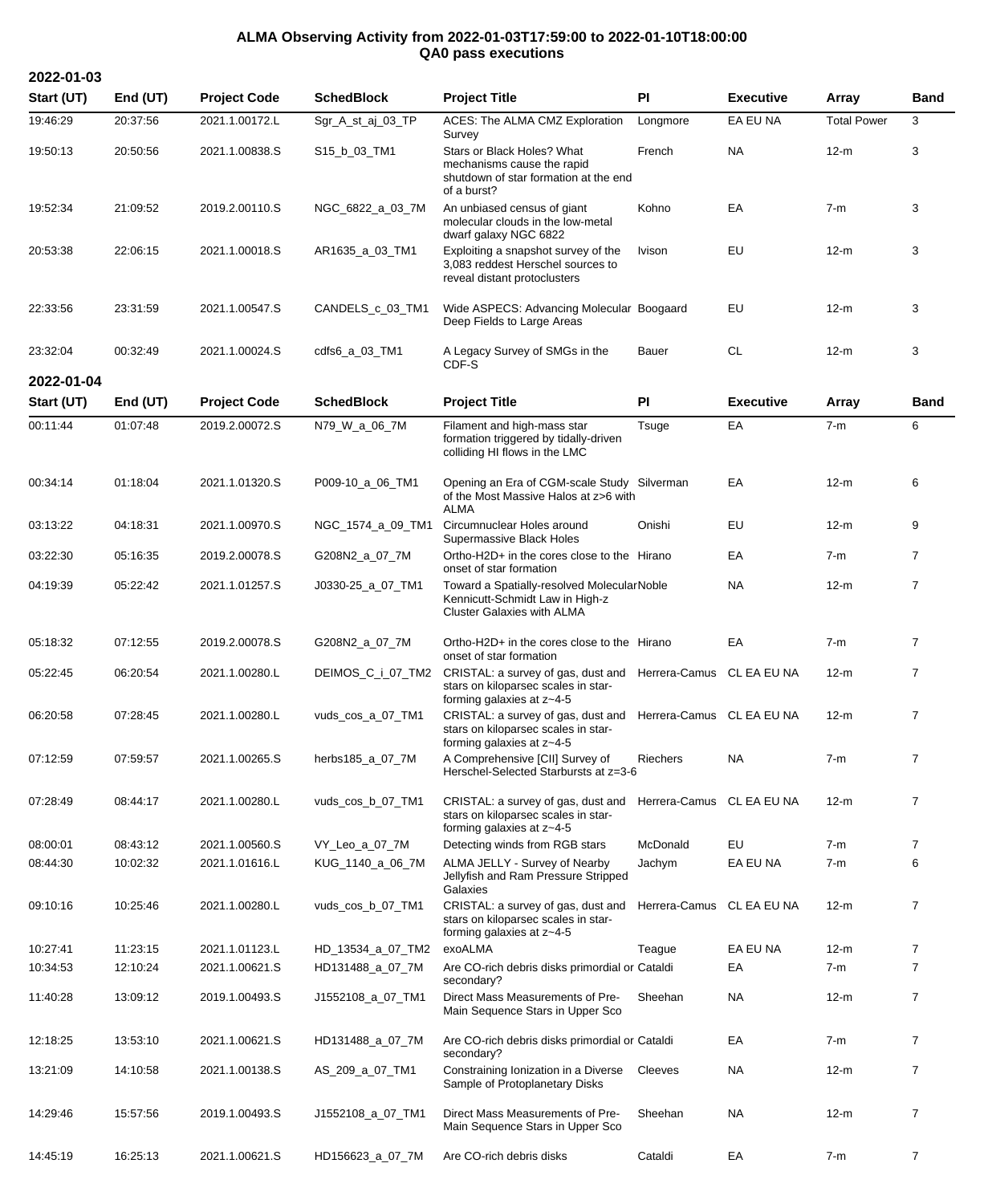## **ALMA Observing Activity from 2022-01-03T17:59:00 to 2022-01-10T18:00:00 QA0 pass executions**

**2022-01-03**

| Start (UT) | End (UT)   | <b>Project Code</b> | <b>SchedBlock</b> | <b>Project Title</b>                                                                                                             | PI                        | <b>Executive</b> | Array              | <b>Band</b>    |
|------------|------------|---------------------|-------------------|----------------------------------------------------------------------------------------------------------------------------------|---------------------------|------------------|--------------------|----------------|
| 19:46:29   | 20:37:56   | 2021.1.00172.L      | Sgr_A_st_aj_03_TP | ACES: The ALMA CMZ Exploration<br>Survey                                                                                         | Longmore                  | EA EU NA         | <b>Total Power</b> | 3              |
| 19:50:13   | 20:50:56   | 2021.1.00838.S      | S15_b_03_TM1      | Stars or Black Holes? What<br>mechanisms cause the rapid<br>shutdown of star formation at the end<br>of a burst?                 | French                    | <b>NA</b>        | $12-m$             | 3              |
| 19:52:34   | 21:09:52   | 2019.2.00110.S      | NGC_6822_a_03_7M  | An unbiased census of giant<br>molecular clouds in the low-metal<br>dwarf galaxy NGC 6822                                        | Kohno                     | EA               | $7-m$              | 3              |
| 20:53:38   | 22:06:15   | 2021.1.00018.S      | AR1635_a_03_TM1   | Exploiting a snapshot survey of the<br>3,083 reddest Herschel sources to<br>reveal distant protoclusters                         | Ivison                    | EU               | $12-m$             | 3              |
| 22:33:56   | 23:31:59   | 2021.1.00547.S      | CANDELS_c_03_TM1  | Wide ASPECS: Advancing Molecular Boogaard<br>Deep Fields to Large Areas                                                          |                           | EU               | $12-m$             | 3              |
| 23:32:04   | 00:32:49   | 2021.1.00024.S      | cdfs6_a_03_TM1    | A Legacy Survey of SMGs in the<br>CDF-S                                                                                          | Bauer                     | <b>CL</b>        | $12-m$             | 3              |
| 2022-01-04 |            |                     |                   |                                                                                                                                  |                           |                  |                    |                |
| Start (UT) | End $(UT)$ | <b>Project Code</b> | <b>SchedBlock</b> | <b>Project Title</b>                                                                                                             | PI                        | <b>Executive</b> | Array              | <b>Band</b>    |
| 00:11:44   | 01:07:48   | 2019.2.00072.S      | N79_W_a_06_7M     | Filament and high-mass star<br>formation triggered by tidally-driven<br>colliding HI flows in the LMC                            | Tsuge                     | EA               | $7-m$              | 6              |
| 00:34:14   | 01:18:04   | 2021.1.01320.S      | P009-10_a_06_TM1  | Opening an Era of CGM-scale Study Silverman<br>of the Most Massive Halos at z>6 with<br>ALMA                                     |                           | EA               | $12-m$             | 6              |
| 03:13:22   | 04:18:31   | 2021.1.00970.S      | NGC_1574_a_09_TM1 | Circumnuclear Holes around<br>Supermassive Black Holes                                                                           | Onishi                    | EU               | $12-m$             | 9              |
| 03:22:30   | 05:16:35   | 2019.2.00078.S      | G208N2_a_07_7M    | Ortho-H2D+ in the cores close to the Hirano<br>onset of star formation                                                           |                           | EA               | $7-m$              | $\overline{7}$ |
| 04:19:39   | 05:22:42   | 2021.1.01257.S      | J0330-25_a_07_TM1 | Toward a Spatially-resolved MolecularNoble<br>Kennicutt-Schmidt Law in High-z<br><b>Cluster Galaxies with ALMA</b>               |                           | <b>NA</b>        | $12-m$             | $\overline{7}$ |
| 05:18:32   | 07:12:55   | 2019.2.00078.S      | G208N2_a_07_7M    | Ortho-H2D+ in the cores close to the Hirano<br>onset of star formation                                                           |                           | EA               | $7-m$              | 7              |
| 05:22:45   | 06:20:54   | 2021.1.00280.L      | DEIMOS_C_i_07_TM2 | CRISTAL: a survey of gas, dust and Herrera-Camus CL EA EU NA<br>stars on kiloparsec scales in star-<br>forming galaxies at z~4-5 |                           |                  | 12-m               | $\overline{7}$ |
| 06:20:58   | 07:28:45   | 2021.1.00280.L      | vuds_cos_a_07_TM1 | CRISTAL: a survey of gas, dust and Herrera-Camus CL EA EU NA<br>stars on kiloparsec scales in star-<br>forming galaxies at z~4-5 |                           |                  | $12-m$             | $\overline{7}$ |
| 07:12:59   | 07:59:57   | 2021.1.00265.S      | herbs185_a_07_7M  | A Comprehensive [CII] Survey of<br>Herschel-Selected Starbursts at z=3-6                                                         | Riechers                  | NA.              | 7-m                | $\overline{7}$ |
| 07:28:49   | 08:44:17   | 2021.1.00280.L      | vuds_cos_b_07_TM1 | CRISTAL: a survey of gas, dust and<br>stars on kiloparsec scales in star-<br>forming galaxies at z~4-5                           | Herrera-Camus CL EA EU NA |                  | 12-m               | $\overline{7}$ |
| 08:00:01   | 08:43:12   | 2021.1.00560.S      | VY_Leo_a_07_7M    | Detecting winds from RGB stars                                                                                                   | McDonald                  | EU               | $7-m$              | $\overline{7}$ |
| 08:44:30   | 10:02:32   | 2021.1.01616.L      | KUG_1140_a_06_7M  | ALMA JELLY - Survey of Nearby<br>Jellyfish and Ram Pressure Stripped<br>Galaxies                                                 | Jachym                    | EA EU NA         | $7-m$              | 6              |
| 09:10:16   | 10:25:46   | 2021.1.00280.L      | vuds cos b 07 TM1 | CRISTAL: a survey of gas, dust and<br>stars on kiloparsec scales in star-<br>forming galaxies at z~4-5                           | Herrera-Camus CL EA EU NA |                  | $12-m$             | $\overline{7}$ |
| 10:27:41   | 11:23:15   | 2021.1.01123.L      | HD_13534_a_07_TM2 | exoALMA                                                                                                                          | Teague                    | EA EU NA         | $12-m$             | $\overline{7}$ |
| 10:34:53   | 12:10:24   | 2021.1.00621.S      | HD131488_a_07_7M  | Are CO-rich debris disks primordial or Cataldi<br>secondary?                                                                     |                           | EA               | $7-m$              | 7              |
| 11:40:28   | 13:09:12   | 2019.1.00493.S      | J1552108_a_07_TM1 | Direct Mass Measurements of Pre-<br>Main Sequence Stars in Upper Sco                                                             | Sheehan                   | NA               | $12-m$             | $\overline{7}$ |
| 12:18:25   | 13:53:10   | 2021.1.00621.S      | HD131488_a_07_7M  | Are CO-rich debris disks primordial or Cataldi<br>secondary?                                                                     |                           | EA               | $7-m$              | $\overline{7}$ |
| 13:21:09   | 14:10:58   | 2021.1.00138.S      | AS_209_a_07_TM1   | Constraining Ionization in a Diverse<br>Sample of Protoplanetary Disks                                                           | Cleeves                   | NA               | $12-m$             | $\overline{7}$ |
| 14:29:46   | 15:57:56   | 2019.1.00493.S      | J1552108_a_07_TM1 | Direct Mass Measurements of Pre-<br>Main Sequence Stars in Upper Sco                                                             | Sheehan                   | NA               | $12-m$             | $\overline{7}$ |
| 14:45:19   | 16:25:13   | 2021.1.00621.S      | HD156623_a_07_7M  | Are CO-rich debris disks                                                                                                         | Cataldi                   | EA               | $7-m$              | $\overline{7}$ |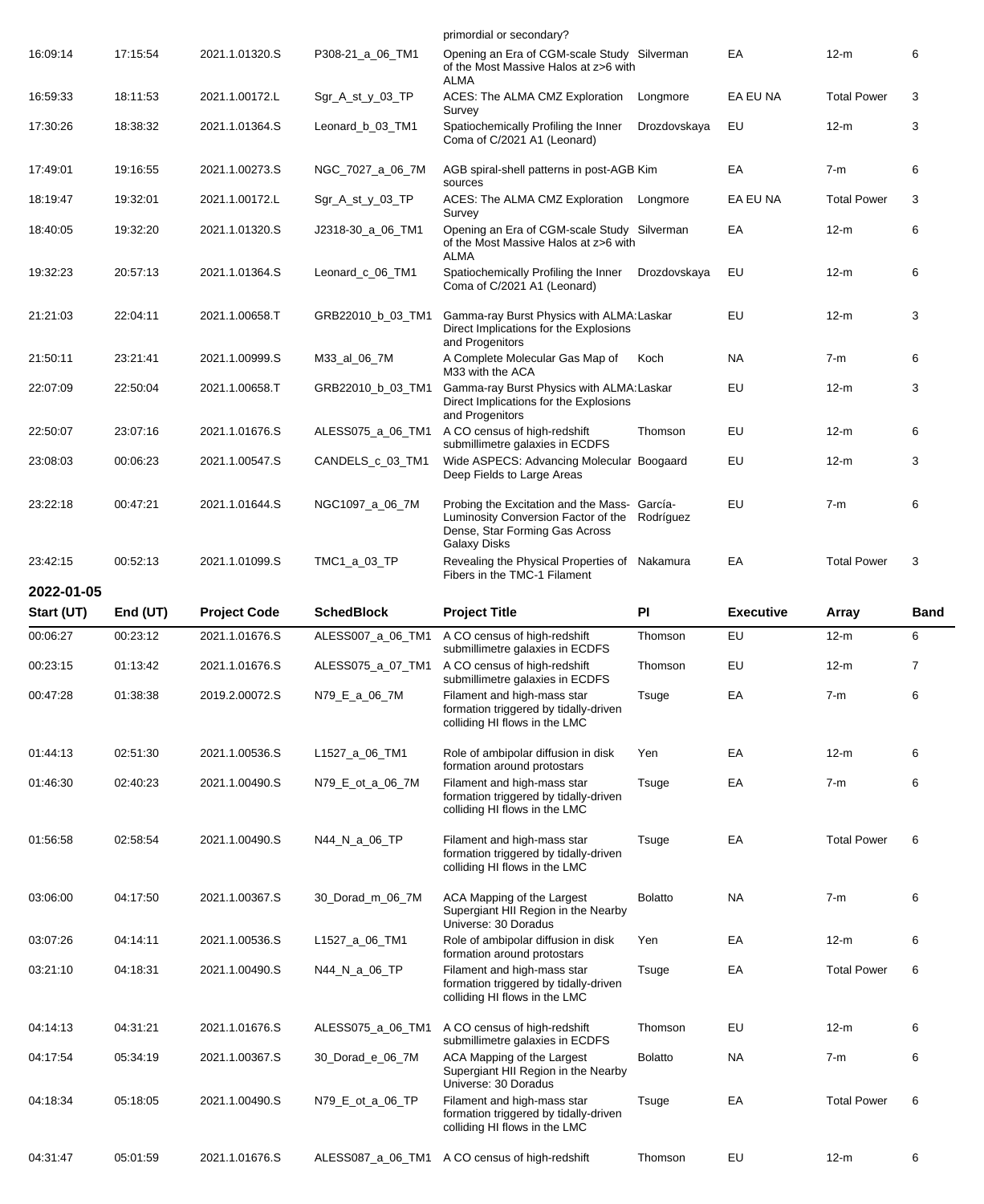|            |          |                     |                   | primordial or secondary?                                                                                                                               |                |                  |                    |      |
|------------|----------|---------------------|-------------------|--------------------------------------------------------------------------------------------------------------------------------------------------------|----------------|------------------|--------------------|------|
| 16:09:14   | 17:15:54 | 2021.1.01320.S      | P308-21_a_06_TM1  | Opening an Era of CGM-scale Study Silverman<br>of the Most Massive Halos at z>6 with                                                                   |                | EA               | $12-m$             | 6    |
| 16:59:33   | 18:11:53 | 2021.1.00172.L      | Sgr_A_st_y_03_TP  | ALMA<br>ACES: The ALMA CMZ Exploration<br>Survey                                                                                                       | Longmore       | EA EU NA         | <b>Total Power</b> | 3    |
| 17:30:26   | 18:38:32 | 2021.1.01364.S      | Leonard_b_03_TM1  | Spatiochemically Profiling the Inner<br>Coma of C/2021 A1 (Leonard)                                                                                    | Drozdovskaya   | EU               | $12-m$             | 3    |
| 17:49:01   | 19:16:55 | 2021.1.00273.S      | NGC_7027_a_06_7M  | AGB spiral-shell patterns in post-AGB Kim<br>sources                                                                                                   |                | EA               | 7-m                | 6    |
| 18:19:47   | 19:32:01 | 2021.1.00172.L      | Sgr_A_st_y_03_TP  | ACES: The ALMA CMZ Exploration<br>Survey                                                                                                               | Longmore       | EA EU NA         | <b>Total Power</b> | 3    |
| 18:40:05   | 19:32:20 | 2021.1.01320.S      | J2318-30_a_06_TM1 | Opening an Era of CGM-scale Study Silverman<br>of the Most Massive Halos at z>6 with<br><b>ALMA</b>                                                    |                | EA               | $12-m$             | 6    |
| 19:32:23   | 20:57:13 | 2021.1.01364.S      | Leonard c_06_TM1  | Spatiochemically Profiling the Inner<br>Coma of C/2021 A1 (Leonard)                                                                                    | Drozdovskaya   | EU               | $12-m$             | 6    |
| 21:21:03   | 22:04:11 | 2021.1.00658.T      | GRB22010_b_03_TM1 | Gamma-ray Burst Physics with ALMA: Laskar<br>Direct Implications for the Explosions<br>and Progenitors                                                 |                | EU               | $12-m$             | 3    |
| 21:50:11   | 23:21:41 | 2021.1.00999.S      | M33_al_06_7M      | A Complete Molecular Gas Map of<br>M33 with the ACA                                                                                                    | Koch           | NA.              | $7-m$              | 6    |
| 22:07:09   | 22:50:04 | 2021.1.00658.T      | GRB22010_b_03_TM1 | Gamma-ray Burst Physics with ALMA: Laskar<br>Direct Implications for the Explosions<br>and Progenitors                                                 |                | EU               | $12-m$             | 3    |
| 22:50:07   | 23:07:16 | 2021.1.01676.S      | ALESS075_a_06_TM1 | A CO census of high-redshift<br>submillimetre galaxies in ECDFS                                                                                        | Thomson        | EU               | $12-m$             | 6    |
| 23:08:03   | 00:06:23 | 2021.1.00547.S      | CANDELS_c_03_TM1  | Wide ASPECS: Advancing Molecular Boogaard<br>Deep Fields to Large Areas                                                                                |                | EU               | $12-m$             | 3    |
| 23:22:18   | 00:47:21 | 2021.1.01644.S      | NGC1097_a_06_7M   | Probing the Excitation and the Mass- García-<br>Luminosity Conversion Factor of the Rodríguez<br>Dense, Star Forming Gas Across<br><b>Galaxy Disks</b> |                | EU               | $7-m$              | 6    |
| 23:42:15   | 00:52:13 | 2021.1.01099.S      | TMC1_a_03_TP      | Revealing the Physical Properties of Nakamura<br>Fibers in the TMC-1 Filament                                                                          |                | EA               | <b>Total Power</b> | 3    |
| 2022-01-05 |          |                     |                   |                                                                                                                                                        |                |                  |                    |      |
|            |          |                     |                   |                                                                                                                                                        |                |                  |                    |      |
| Start (UT) | End (UT) | <b>Project Code</b> | <b>SchedBlock</b> | <b>Project Title</b>                                                                                                                                   | PI             | <b>Executive</b> | <b>Array</b>       | Band |
| 00:06:27   | 00:23:12 | 2021.1.01676.S      | ALESS007_a_06_TM1 | A CO census of high-redshift<br>submillimetre galaxies in ECDFS                                                                                        | Thomson        | EU               | $12-m$             | 6    |
| 00:23:15   | 01:13:42 | 2021.1.01676.S      | ALESS075_a_07_TM1 | A CO census of high-redshift<br>submillimetre galaxies in ECDFS                                                                                        | Thomson        | EU               | $12-m$             | 7    |
| 00:47:28   | 01:38:38 | 2019.2.00072.S      | N79_E_a_06_7M     | Filament and high-mass star<br>formation triggered by tidally-driven<br>colliding HI flows in the LMC                                                  | Tsuge          | EA               | $7-m$              | 6    |
| 01:44:13   | 02:51:30 | 2021.1.00536.S      | L1527_a_06_TM1    | Role of ambipolar diffusion in disk                                                                                                                    | Yen            | EA               | $12-m$             | 6    |
| 01:46:30   | 02:40:23 | 2021.1.00490.S      | N79_E_ot_a_06_7M  | formation around protostars<br>Filament and high-mass star<br>formation triggered by tidally-driven<br>colliding HI flows in the LMC                   | Tsuge          | EA               | 7-m                | 6    |
| 01:56:58   | 02:58:54 | 2021.1.00490.S      | N44_N_a_06_TP     | Filament and high-mass star<br>formation triggered by tidally-driven<br>colliding HI flows in the LMC                                                  | Tsuge          | EA               | <b>Total Power</b> | 6    |
| 03:06:00   | 04:17:50 | 2021.1.00367.S      | 30_Dorad_m_06_7M  | ACA Mapping of the Largest<br>Supergiant HII Region in the Nearby                                                                                      | <b>Bolatto</b> | NA.              | $7-m$              | 6    |
| 03:07:26   | 04:14:11 | 2021.1.00536.S      | L1527_a_06_TM1    | Universe: 30 Doradus<br>Role of ambipolar diffusion in disk                                                                                            | Yen            | EA               | $12-m$             | 6    |
| 03:21:10   | 04:18:31 | 2021.1.00490.S      | N44_N_a_06_TP     | formation around protostars<br>Filament and high-mass star<br>formation triggered by tidally-driven<br>colliding HI flows in the LMC                   | Tsuge          | EA               | <b>Total Power</b> | 6    |
| 04:14:13   | 04:31:21 | 2021.1.01676.S      | ALESS075_a_06_TM1 | A CO census of high-redshift                                                                                                                           | Thomson        | EU               | $12-m$             | 6    |
| 04:17:54   | 05:34:19 | 2021.1.00367.S      | 30_Dorad_e_06_7M  | submillimetre galaxies in ECDFS<br>ACA Mapping of the Largest<br>Supergiant HII Region in the Nearby                                                   | <b>Bolatto</b> | <b>NA</b>        | 7-m                | 6    |
| 04:18:34   | 05:18:05 | 2021.1.00490.S      | N79_E_ot_a_06_TP  | Universe: 30 Doradus<br>Filament and high-mass star<br>formation triggered by tidally-driven<br>colliding HI flows in the LMC                          | Tsuge          | EA               | <b>Total Power</b> | 6    |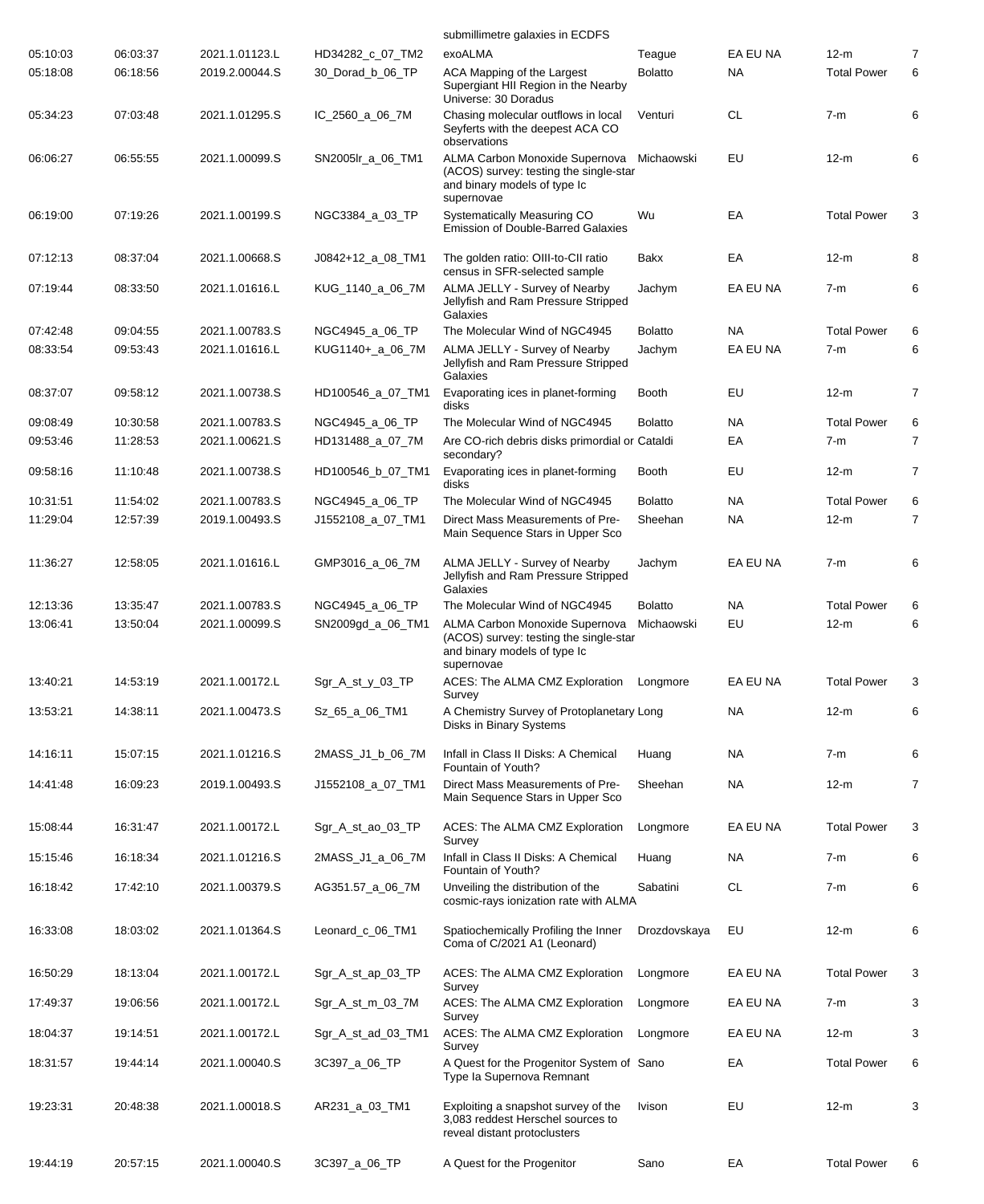|          |          |                |                    | submillimetre galaxies in ECDFS                                                                                                   |                |           |                    |   |
|----------|----------|----------------|--------------------|-----------------------------------------------------------------------------------------------------------------------------------|----------------|-----------|--------------------|---|
| 05:10:03 | 06:03:37 | 2021.1.01123.L | HD34282_c_07_TM2   | exoALMA                                                                                                                           | Teague         | EA EU NA  | $12-m$             | 7 |
| 05:18:08 | 06:18:56 | 2019.2.00044.S | 30_Dorad_b_06_TP   | ACA Mapping of the Largest<br>Supergiant HII Region in the Nearby<br>Universe: 30 Doradus                                         | <b>Bolatto</b> | NA        | <b>Total Power</b> | 6 |
| 05:34:23 | 07:03:48 | 2021.1.01295.S | IC_2560_a_06_7M    | Chasing molecular outflows in local<br>Seyferts with the deepest ACA CO<br>observations                                           | Venturi        | <b>CL</b> | $7-m$              | 6 |
| 06:06:27 | 06:55:55 | 2021.1.00099.S | SN2005lr_a_06_TM1  | ALMA Carbon Monoxide Supernova Michaowski<br>(ACOS) survey: testing the single-star<br>and binary models of type Ic<br>supernovae |                | EU        | $12-m$             | 6 |
| 06:19:00 | 07:19:26 | 2021.1.00199.S | NGC3384_a_03_TP    | Systematically Measuring CO<br><b>Emission of Double-Barred Galaxies</b>                                                          | Wu             | EA        | <b>Total Power</b> | 3 |
| 07:12:13 | 08:37:04 | 2021.1.00668.S | J0842+12_a_08_TM1  | The golden ratio: OIII-to-CII ratio<br>census in SFR-selected sample                                                              | Bakx           | EA        | $12-m$             | 8 |
| 07:19:44 | 08:33:50 | 2021.1.01616.L | KUG_1140_a_06_7M   | ALMA JELLY - Survey of Nearby<br>Jellyfish and Ram Pressure Stripped<br>Galaxies                                                  | Jachym         | EA EU NA  | $7-m$              | 6 |
| 07:42:48 | 09:04:55 | 2021.1.00783.S | NGC4945_a_06_TP    | The Molecular Wind of NGC4945                                                                                                     | <b>Bolatto</b> | <b>NA</b> | <b>Total Power</b> | 6 |
| 08:33:54 | 09:53:43 | 2021.1.01616.L | KUG1140+_a_06_7M   | ALMA JELLY - Survey of Nearby<br>Jellyfish and Ram Pressure Stripped<br>Galaxies                                                  | Jachym         | EA EU NA  | $7-m$              | 6 |
| 08:37:07 | 09:58:12 | 2021.1.00738.S | HD100546_a_07_TM1  | Evaporating ices in planet-forming<br>disks                                                                                       | <b>Booth</b>   | EU        | $12-m$             | 7 |
| 09:08:49 | 10:30:58 | 2021.1.00783.S | NGC4945_a_06_TP    | The Molecular Wind of NGC4945                                                                                                     | <b>Bolatto</b> | <b>NA</b> | <b>Total Power</b> | 6 |
| 09:53:46 | 11:28:53 | 2021.1.00621.S | HD131488_a_07_7M   | Are CO-rich debris disks primordial or Cataldi<br>secondary?                                                                      |                | EA        | $7-m$              | 7 |
| 09:58:16 | 11:10:48 | 2021.1.00738.S | HD100546_b_07_TM1  | Evaporating ices in planet-forming<br>disks                                                                                       | Booth          | EU        | $12-m$             | 7 |
| 10:31:51 | 11:54:02 | 2021.1.00783.S | NGC4945_a_06_TP    | The Molecular Wind of NGC4945                                                                                                     | <b>Bolatto</b> | NA.       | <b>Total Power</b> | 6 |
| 11:29:04 | 12:57:39 | 2019.1.00493.S | J1552108_a_07_TM1  | Direct Mass Measurements of Pre-<br>Main Sequence Stars in Upper Sco                                                              | Sheehan        | <b>NA</b> | $12-m$             | 7 |
| 11:36:27 | 12:58:05 | 2021.1.01616.L | GMP3016_a_06_7M    | ALMA JELLY - Survey of Nearby<br>Jellyfish and Ram Pressure Stripped<br>Galaxies                                                  | Jachym         | EA EU NA  | $7-m$              | 6 |
| 12:13:36 | 13:35:47 | 2021.1.00783.S | NGC4945_a_06_TP    | The Molecular Wind of NGC4945                                                                                                     | <b>Bolatto</b> | NA        | <b>Total Power</b> | 6 |
| 13:06:41 | 13:50:04 | 2021.1.00099.S | SN2009gd_a_06_TM1  | ALMA Carbon Monoxide Supernova<br>(ACOS) survey: testing the single-star<br>and binary models of type Ic<br>supernovae            | Michaowski     | EU        | $12-m$             | 6 |
| 13:40:21 | 14:53:19 | 2021.1.00172.L | Sgr_A_st_y_03_TP   | ACES: The ALMA CMZ Exploration    Longmore<br>Survey                                                                              |                | EA EU NA  | <b>Total Power</b> | 3 |
| 13:53:21 | 14:38:11 | 2021.1.00473.S | Sz_65_a_06_TM1     | A Chemistry Survey of Protoplanetary Long<br><b>Disks in Binary Systems</b>                                                       |                | NA        | $12-m$             | 6 |
| 14:16:11 | 15:07:15 | 2021.1.01216.S | 2MASS_J1_b_06_7M   | Infall in Class II Disks: A Chemical<br>Fountain of Youth?                                                                        | Huang          | NA        | $7-m$              | 6 |
| 14:41:48 | 16:09:23 | 2019.1.00493.S | J1552108_a_07_TM1  | Direct Mass Measurements of Pre-<br>Main Sequence Stars in Upper Sco                                                              | Sheehan        | NA        | $12-m$             | 7 |
| 15:08:44 | 16:31:47 | 2021.1.00172.L | Sgr_A_st_ao_03_TP  | ACES: The ALMA CMZ Exploration<br>Survey                                                                                          | Longmore       | EA EU NA  | <b>Total Power</b> | 3 |
| 15:15:46 | 16:18:34 | 2021.1.01216.S | 2MASS_J1_a_06_7M   | Infall in Class II Disks: A Chemical<br>Fountain of Youth?                                                                        | Huang          | <b>NA</b> | $7-m$              | 6 |
| 16:18:42 | 17:42:10 | 2021.1.00379.S | AG351.57_a_06_7M   | Unveiling the distribution of the<br>cosmic-rays ionization rate with ALMA                                                        | Sabatini       | CL        | $7-m$              | 6 |
| 16:33:08 | 18:03:02 | 2021.1.01364.S | Leonard_c_06_TM1   | Spatiochemically Profiling the Inner<br>Coma of C/2021 A1 (Leonard)                                                               | Drozdovskaya   | EU        | $12-m$             | 6 |
| 16:50:29 | 18:13:04 | 2021.1.00172.L | Sgr_A_st_ap_03_TP  | ACES: The ALMA CMZ Exploration<br>Survey                                                                                          | Longmore       | EA EU NA  | <b>Total Power</b> | 3 |
| 17:49:37 | 19:06:56 | 2021.1.00172.L | Sgr_A_st_m_03_7M   | ACES: The ALMA CMZ Exploration<br>Survey                                                                                          | Longmore       | EA EU NA  | $7-m$              | 3 |
| 18:04:37 | 19:14:51 | 2021.1.00172.L | Sgr_A_st_ad_03_TM1 | ACES: The ALMA CMZ Exploration<br>Survey                                                                                          | Longmore       | EA EU NA  | $12-m$             | 3 |
| 18:31:57 | 19:44:14 | 2021.1.00040.S | 3C397_a_06_TP      | A Quest for the Progenitor System of Sano<br>Type la Supernova Remnant                                                            |                | EA        | <b>Total Power</b> | 6 |
| 19:23:31 | 20:48:38 | 2021.1.00018.S | AR231_a_03_TM1     | Exploiting a snapshot survey of the<br>3,083 reddest Herschel sources to<br>reveal distant protoclusters                          | Ivison         | EU        | $12-m$             | 3 |
| 19:44:19 | 20:57:15 | 2021.1.00040.S | 3C397_a_06_TP      | A Quest for the Progenitor                                                                                                        | Sano           | EA        | <b>Total Power</b> | 6 |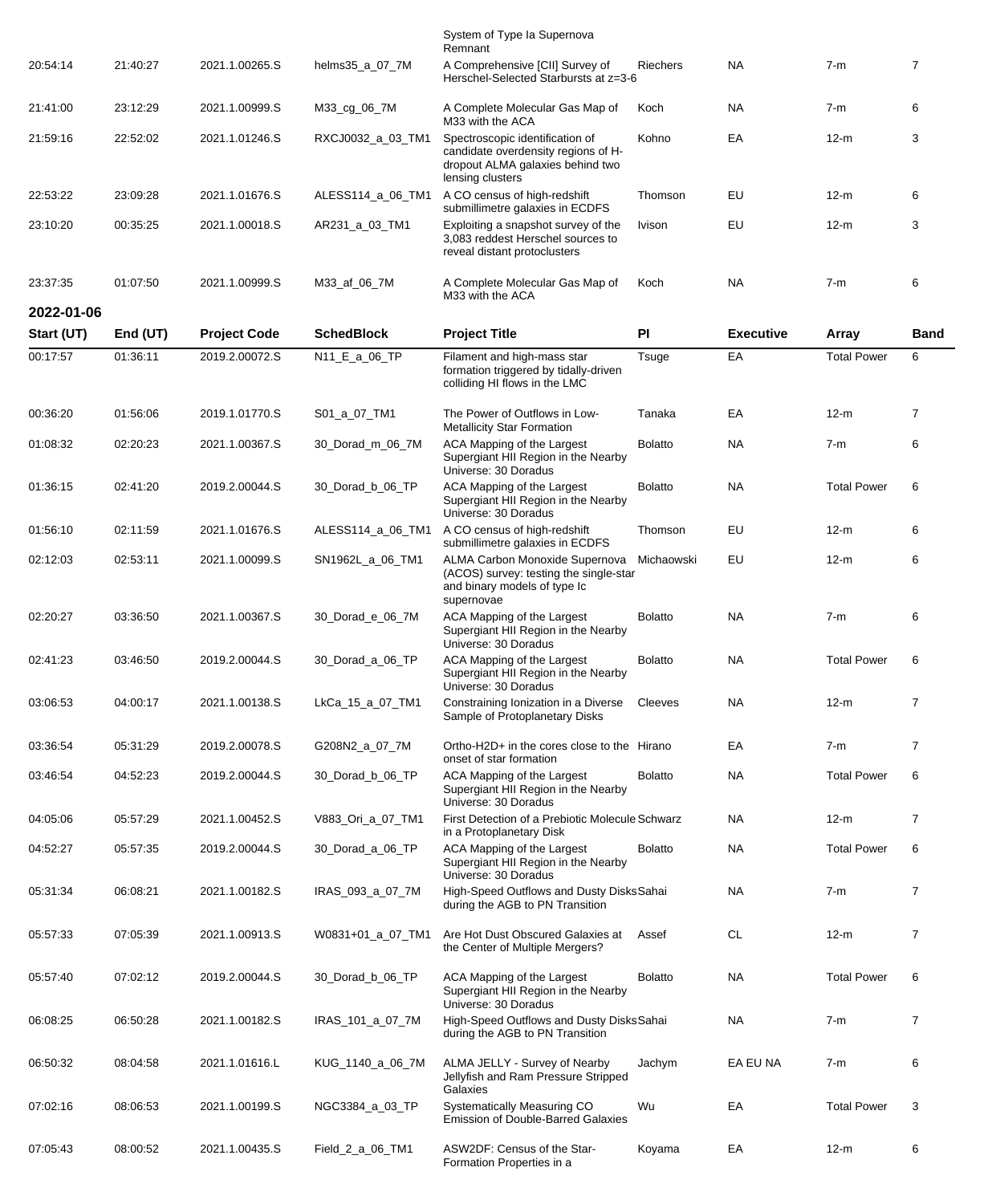|            |            |                     |                   | System of Type Ia Supernova<br>Remnant                                                                                         |                |                  |                    |                |
|------------|------------|---------------------|-------------------|--------------------------------------------------------------------------------------------------------------------------------|----------------|------------------|--------------------|----------------|
| 20:54:14   | 21:40:27   | 2021.1.00265.S      | helms35_a_07_7M   | A Comprehensive [CII] Survey of<br>Herschel-Selected Starbursts at z=3-6                                                       | Riechers       | <b>NA</b>        | $7-m$              | $\overline{7}$ |
| 21:41:00   | 23:12:29   | 2021.1.00999.S      | M33_cg_06_7M      | A Complete Molecular Gas Map of<br>M33 with the ACA                                                                            | Koch           | <b>NA</b>        | $7-m$              | 6              |
| 21:59:16   | 22:52:02   | 2021.1.01246.S      | RXCJ0032_a_03_TM1 | Spectroscopic identification of<br>candidate overdensity regions of H-<br>dropout ALMA galaxies behind two<br>lensing clusters | Kohno          | EA               | $12-m$             | 3              |
| 22:53:22   | 23:09:28   | 2021.1.01676.S      | ALESS114_a_06_TM1 | A CO census of high-redshift<br>submillimetre galaxies in ECDFS                                                                | Thomson        | EU               | $12-m$             | 6              |
| 23:10:20   | 00:35:25   | 2021.1.00018.S      | AR231_a_03_TM1    | Exploiting a snapshot survey of the<br>3,083 reddest Herschel sources to<br>reveal distant protoclusters                       | Ivison         | EU               | $12-m$             | 3              |
| 23:37:35   | 01:07:50   | 2021.1.00999.S      | M33_af_06_7M      | A Complete Molecular Gas Map of<br>M33 with the ACA                                                                            | Koch           | <b>NA</b>        | $7-m$              | 6              |
| 2022-01-06 |            |                     |                   |                                                                                                                                |                |                  |                    |                |
| Start (UT) | End $(UT)$ | <b>Project Code</b> | <b>SchedBlock</b> | <b>Project Title</b>                                                                                                           | PI             | <b>Executive</b> | Array              | <b>Band</b>    |
| 00:17:57   | 01:36:11   | 2019.2.00072.S      | N11_E_a_06_TP     | Filament and high-mass star<br>formation triggered by tidally-driven<br>colliding HI flows in the LMC                          | Tsuge          | EA               | <b>Total Power</b> | 6              |
| 00:36:20   | 01:56:06   | 2019.1.01770.S      | S01_a_07_TM1      | The Power of Outflows in Low-<br><b>Metallicity Star Formation</b>                                                             | Tanaka         | EA               | $12-m$             | $\overline{7}$ |
| 01:08:32   | 02:20:23   | 2021.1.00367.S      | 30 Dorad m 06 7M  | ACA Mapping of the Largest<br>Supergiant HII Region in the Nearby<br>Universe: 30 Doradus                                      | <b>Bolatto</b> | <b>NA</b>        | $7-m$              | 6              |
| 01:36:15   | 02:41:20   | 2019.2.00044.S      | 30_Dorad_b_06_TP  | ACA Mapping of the Largest<br>Supergiant HII Region in the Nearby<br>Universe: 30 Doradus                                      | <b>Bolatto</b> | <b>NA</b>        | <b>Total Power</b> | 6              |
| 01:56:10   | 02:11:59   | 2021.1.01676.S      | ALESS114_a_06_TM1 | A CO census of high-redshift<br>submillimetre galaxies in ECDFS                                                                | Thomson        | EU               | $12-m$             | 6              |
| 02:12:03   | 02:53:11   | 2021.1.00099.S      | SN1962L_a_06_TM1  | ALMA Carbon Monoxide Supernova<br>(ACOS) survey: testing the single-star<br>and binary models of type Ic<br>supernovae         | Michaowski     | EU               | $12-m$             | 6              |
| 02:20:27   | 03:36:50   | 2021.1.00367.S      | 30_Dorad_e_06_7M  | ACA Mapping of the Largest<br>Supergiant HII Region in the Nearby<br>Universe: 30 Doradus                                      | <b>Bolatto</b> | <b>NA</b>        | $7-m$              | 6              |
| 02:41:23   | 03:46:50   | 2019.2.00044.S      | 30_Dorad_a_06_TP  | ACA Mapping of the Largest<br>Supergiant HII Region in the Nearby<br>Universe: 30 Doradus                                      | <b>Bolatto</b> | <b>NA</b>        | <b>Total Power</b> | 6              |
| 03:06:53   | 04:00:17   | 2021.1.00138.S      | LkCa_15_a_07_TM1  | Constraining Ionization in a Diverse<br>Sample of Protoplanetary Disks                                                         | Cleeves        | NA               | $12-m$             | $\overline{7}$ |
| 03:36:54   | 05:31:29   | 2019.2.00078.S      | G208N2_a_07_7M    | Ortho-H2D+ in the cores close to the Hirano<br>onset of star formation                                                         |                | EA               | $7-m$              | $\overline{7}$ |
| 03:46:54   | 04:52:23   | 2019.2.00044.S      | 30 Dorad b 06 TP  | ACA Mapping of the Largest<br>Supergiant HII Region in the Nearby<br>Universe: 30 Doradus                                      | <b>Bolatto</b> | NA               | <b>Total Power</b> | 6              |
| 04:05:06   | 05:57:29   | 2021.1.00452.S      | V883_Ori_a_07_TM1 | First Detection of a Prebiotic Molecule Schwarz<br>in a Protoplanetary Disk                                                    |                | NA               | $12-m$             | $\overline{7}$ |
| 04:52:27   | 05:57:35   | 2019.2.00044.S      | 30_Dorad_a_06_TP  | ACA Mapping of the Largest<br>Supergiant HII Region in the Nearby<br>Universe: 30 Doradus                                      | <b>Bolatto</b> | <b>NA</b>        | <b>Total Power</b> | 6              |
| 05:31:34   | 06:08:21   | 2021.1.00182.S      | IRAS_093_a_07_7M  | High-Speed Outflows and Dusty DisksSahai<br>during the AGB to PN Transition                                                    |                | NA               | 7-m                | $\overline{7}$ |
| 05:57:33   | 07:05:39   | 2021.1.00913.S      | W0831+01_a_07_TM1 | Are Hot Dust Obscured Galaxies at<br>the Center of Multiple Mergers?                                                           | Assef          | <b>CL</b>        | $12-m$             | $\overline{7}$ |
| 05:57:40   | 07:02:12   | 2019.2.00044.S      | 30_Dorad_b_06_TP  | ACA Mapping of the Largest<br>Supergiant HII Region in the Nearby<br>Universe: 30 Doradus                                      | <b>Bolatto</b> | NA               | <b>Total Power</b> | 6              |
| 06:08:25   | 06:50:28   | 2021.1.00182.S      | IRAS_101_a_07_7M  | High-Speed Outflows and Dusty DisksSahai<br>during the AGB to PN Transition                                                    |                | <b>NA</b>        | $7-m$              | $\overline{7}$ |
| 06:50:32   | 08:04:58   | 2021.1.01616.L      | KUG_1140_a_06_7M  | ALMA JELLY - Survey of Nearby<br>Jellyfish and Ram Pressure Stripped<br>Galaxies                                               | Jachym         | EA EU NA         | 7-m                | 6              |
| 07:02:16   | 08:06:53   | 2021.1.00199.S      | NGC3384_a_03_TP   | Systematically Measuring CO<br><b>Emission of Double-Barred Galaxies</b>                                                       | Wu             | EA               | <b>Total Power</b> | 3              |
| 07:05:43   | 08:00:52   | 2021.1.00435.S      | Field_2_a_06_TM1  | ASW2DF: Census of the Star-<br>Formation Properties in a                                                                       | Koyama         | EA               | $12-m$             | 6              |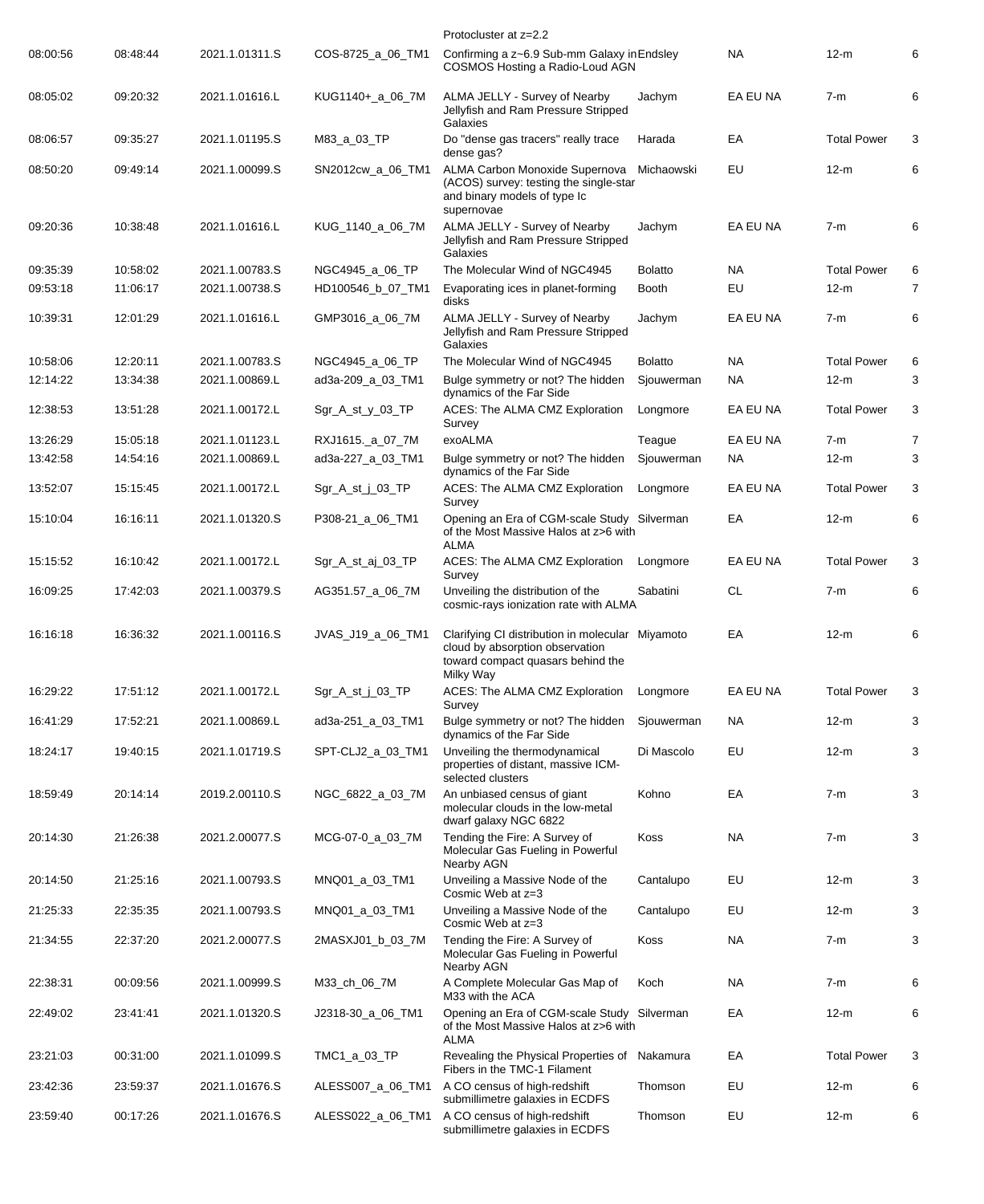|          |          |                |                   | Protocluster at z=2.2                                                                                                                 |                |           |                    |                |
|----------|----------|----------------|-------------------|---------------------------------------------------------------------------------------------------------------------------------------|----------------|-----------|--------------------|----------------|
| 08:00:56 | 08:48:44 | 2021.1.01311.S | COS-8725_a_06_TM1 | Confirming a z~6.9 Sub-mm Galaxy in Endsley<br>COSMOS Hosting a Radio-Loud AGN                                                        |                | <b>NA</b> | 12-m               | 6              |
| 08:05:02 | 09:20:32 | 2021.1.01616.L | KUG1140+_a_06_7M  | ALMA JELLY - Survey of Nearby<br>Jellyfish and Ram Pressure Stripped<br>Galaxies                                                      | Jachym         | EA EU NA  | $7-m$              | 6              |
| 08:06:57 | 09:35:27 | 2021.1.01195.S | M83_a_03_TP       | Do "dense gas tracers" really trace<br>dense gas?                                                                                     | Harada         | EA        | <b>Total Power</b> | 3              |
| 08:50:20 | 09:49:14 | 2021.1.00099.S | SN2012cw_a_06_TM1 | ALMA Carbon Monoxide Supernova<br>(ACOS) survey: testing the single-star<br>and binary models of type Ic<br>supernovae                | Michaowski     | EU        | $12-m$             | 6              |
| 09:20:36 | 10:38:48 | 2021.1.01616.L | KUG_1140_a_06_7M  | ALMA JELLY - Survey of Nearby<br>Jellyfish and Ram Pressure Stripped<br>Galaxies                                                      | Jachym         | EA EU NA  | $7-m$              | 6              |
| 09:35:39 | 10:58:02 | 2021.1.00783.S | NGC4945_a_06_TP   | The Molecular Wind of NGC4945                                                                                                         | <b>Bolatto</b> | NA        | <b>Total Power</b> | 6              |
| 09:53:18 | 11:06:17 | 2021.1.00738.S | HD100546_b_07_TM1 | Evaporating ices in planet-forming<br>disks                                                                                           | <b>Booth</b>   | EU        | $12-m$             | $\overline{7}$ |
| 10:39:31 | 12:01:29 | 2021.1.01616.L | GMP3016_a_06_7M   | ALMA JELLY - Survey of Nearby<br>Jellyfish and Ram Pressure Stripped<br>Galaxies                                                      | Jachym         | EA EU NA  | $7-m$              | 6              |
| 10:58:06 | 12:20:11 | 2021.1.00783.S | NGC4945_a_06_TP   | The Molecular Wind of NGC4945                                                                                                         | Bolatto        | NA        | <b>Total Power</b> | 6              |
| 12:14:22 | 13:34:38 | 2021.1.00869.L | ad3a-209_a_03_TM1 | Bulge symmetry or not? The hidden<br>dynamics of the Far Side                                                                         | Sjouwerman     | <b>NA</b> | $12-m$             | 3              |
| 12:38:53 | 13:51:28 | 2021.1.00172.L | Sgr_A_st_y_03_TP  | ACES: The ALMA CMZ Exploration<br>Survey                                                                                              | Longmore       | EA EU NA  | <b>Total Power</b> | 3              |
| 13:26:29 | 15:05:18 | 2021.1.01123.L | RXJ1615._a_07_7M  | exoALMA                                                                                                                               | Teague         | EA EU NA  | $7-m$              | $\overline{7}$ |
| 13:42:58 | 14:54:16 | 2021.1.00869.L | ad3a-227_a_03_TM1 | Bulge symmetry or not? The hidden<br>dynamics of the Far Side                                                                         | Sjouwerman     | NA        | $12-m$             | 3              |
| 13:52:07 | 15:15:45 | 2021.1.00172.L | Sgr_A_st_j_03_TP  | ACES: The ALMA CMZ Exploration<br>Survey                                                                                              | Longmore       | EA EU NA  | <b>Total Power</b> | 3              |
| 15:10:04 | 16:16:11 | 2021.1.01320.S | P308-21_a_06_TM1  | Opening an Era of CGM-scale Study Silverman<br>of the Most Massive Halos at z>6 with<br>ALMA                                          |                | EA        | $12-m$             | 6              |
| 15:15:52 | 16:10:42 | 2021.1.00172.L | Sgr_A_st_aj_03_TP | ACES: The ALMA CMZ Exploration<br>Survey                                                                                              | Longmore       | EA EU NA  | <b>Total Power</b> | 3              |
| 16:09:25 | 17:42:03 | 2021.1.00379.S | AG351.57_a_06_7M  | Unveiling the distribution of the<br>cosmic-rays ionization rate with ALMA                                                            | Sabatini       | <b>CL</b> | $7-m$              | 6              |
| 16:16:18 | 16:36:32 | 2021.1.00116.S | JVAS_J19_a_06_TM1 | Clarifying CI distribution in molecular Miyamoto<br>cloud by absorption observation<br>toward compact quasars behind the<br>Milky Way |                | EA        | $12-m$             | 6              |
| 16:29:22 | 17:51:12 | 2021.1.00172.L | Sgr_A_st_j_03_TP  | ACES: The ALMA CMZ Exploration<br>Survey                                                                                              | Longmore       | EA EU NA  | <b>Total Power</b> | 3              |
| 16:41:29 | 17:52:21 | 2021.1.00869.L | ad3a-251_a_03_TM1 | Bulge symmetry or not? The hidden<br>dynamics of the Far Side                                                                         | Sjouwerman     | <b>NA</b> | $12-m$             | 3              |
| 18:24:17 | 19:40:15 | 2021.1.01719.S | SPT-CLJ2 a 03 TM1 | Unveiling the thermodynamical<br>properties of distant, massive ICM-<br>selected clusters                                             | Di Mascolo     | EU        | $12-m$             | 3              |
| 18:59:49 | 20:14:14 | 2019.2.00110.S | NGC_6822_a_03_7M  | An unbiased census of giant<br>molecular clouds in the low-metal<br>dwarf galaxy NGC 6822                                             | Kohno          | EA        | $7-m$              | 3              |
| 20:14:30 | 21:26:38 | 2021.2.00077.S | MCG-07-0_a_03_7M  | Tending the Fire: A Survey of<br>Molecular Gas Fueling in Powerful<br>Nearby AGN                                                      | Koss           | NA        | $7-m$              | 3              |
| 20:14:50 | 21:25:16 | 2021.1.00793.S | MNQ01_a_03_TM1    | Unveiling a Massive Node of the<br>Cosmic Web at z=3                                                                                  | Cantalupo      | EU        | $12-m$             | 3              |
| 21:25:33 | 22:35:35 | 2021.1.00793.S | MNQ01_a_03_TM1    | Unveiling a Massive Node of the<br>Cosmic Web at z=3                                                                                  | Cantalupo      | EU        | $12-m$             | 3              |
| 21:34:55 | 22:37:20 | 2021.2.00077.S | 2MASXJ01_b_03_7M  | Tending the Fire: A Survey of<br>Molecular Gas Fueling in Powerful<br>Nearby AGN                                                      | Koss           | NA        | $7-m$              | 3              |
| 22:38:31 | 00:09:56 | 2021.1.00999.S | M33_ch_06_7M      | A Complete Molecular Gas Map of<br>M33 with the ACA                                                                                   | Koch           | NA        | $7-m$              | 6              |
| 22:49:02 | 23:41:41 | 2021.1.01320.S | J2318-30_a_06_TM1 | Opening an Era of CGM-scale Study Silverman<br>of the Most Massive Halos at z>6 with<br><b>ALMA</b>                                   |                | EA        | $12-m$             | 6              |
| 23:21:03 | 00:31:00 | 2021.1.01099.S | TMC1_a_03_TP      | Revealing the Physical Properties of Nakamura<br>Fibers in the TMC-1 Filament                                                         |                | EA        | <b>Total Power</b> | 3              |
| 23:42:36 | 23:59:37 | 2021.1.01676.S | ALESS007_a_06_TM1 | A CO census of high-redshift<br>submillimetre galaxies in ECDFS                                                                       | Thomson        | EU        | 12-m               | 6              |
| 23:59:40 | 00:17:26 | 2021.1.01676.S | ALESS022_a_06_TM1 | A CO census of high-redshift<br>submillimetre galaxies in ECDFS                                                                       | Thomson        | EU        | $12-m$             | 6              |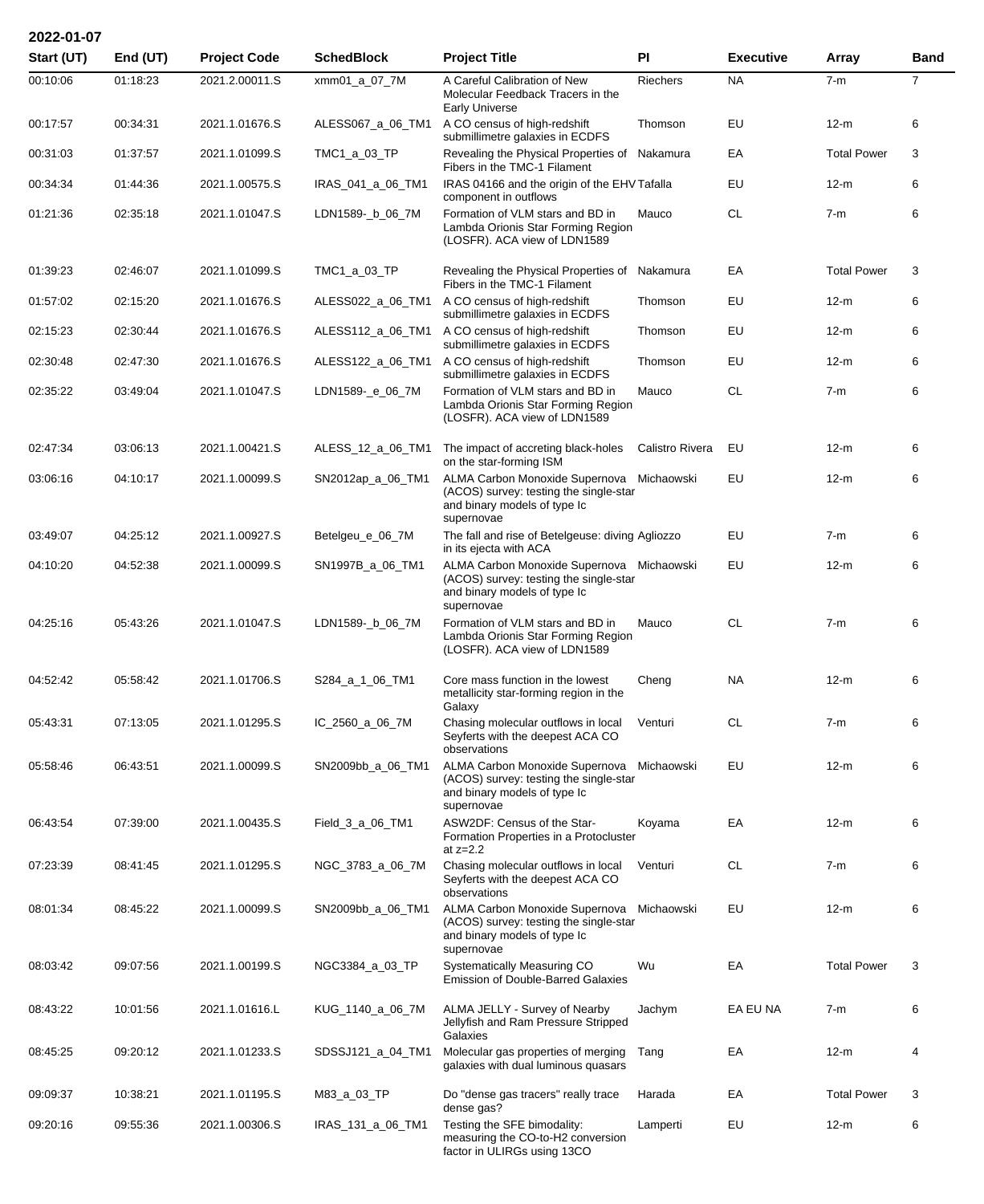| 2022-01-07 |            |                     |                   |                                                                                                                                   |                 |                  |                    |                |
|------------|------------|---------------------|-------------------|-----------------------------------------------------------------------------------------------------------------------------------|-----------------|------------------|--------------------|----------------|
| Start (UT) | End $(UT)$ | <b>Project Code</b> | <b>SchedBlock</b> | <b>Project Title</b>                                                                                                              | PI              | <b>Executive</b> | Array              | <b>Band</b>    |
| 00:10:06   | 01:18:23   | 2021.2.00011.S      | xmm01_a_07_7M     | A Careful Calibration of New<br>Molecular Feedback Tracers in the<br><b>Early Universe</b>                                        | Riechers        | <b>NA</b>        | $7-m$              | $\overline{7}$ |
| 00:17:57   | 00:34:31   | 2021.1.01676.S      | ALESS067_a_06_TM1 | A CO census of high-redshift<br>submillimetre galaxies in ECDFS                                                                   | Thomson         | EU               | $12-m$             | 6              |
| 00:31:03   | 01:37:57   | 2021.1.01099.S      | TMC1_a_03_TP      | Revealing the Physical Properties of Nakamura<br>Fibers in the TMC-1 Filament                                                     |                 | EA               | <b>Total Power</b> | 3              |
| 00:34:34   | 01:44:36   | 2021.1.00575.S      | IRAS_041_a_06_TM1 | IRAS 04166 and the origin of the EHV Tafalla<br>component in outflows                                                             |                 | EU               | $12-m$             | 6              |
| 01:21:36   | 02:35:18   | 2021.1.01047.S      | LDN1589-_b_06_7M  | Formation of VLM stars and BD in<br>Lambda Orionis Star Forming Region<br>(LOSFR). ACA view of LDN1589                            | Mauco           | <b>CL</b>        | $7-m$              | 6              |
| 01:39:23   | 02:46:07   | 2021.1.01099.S      | TMC1_a_03_TP      | Revealing the Physical Properties of Nakamura<br>Fibers in the TMC-1 Filament                                                     |                 | EA               | <b>Total Power</b> | 3              |
| 01:57:02   | 02:15:20   | 2021.1.01676.S      | ALESS022_a_06_TM1 | A CO census of high-redshift<br>submillimetre galaxies in ECDFS                                                                   | Thomson         | EU               | $12-m$             | 6              |
| 02:15:23   | 02:30:44   | 2021.1.01676.S      | ALESS112_a_06_TM1 | A CO census of high-redshift<br>submillimetre galaxies in ECDFS                                                                   | Thomson         | EU               | 12-m               | 6              |
| 02:30:48   | 02:47:30   | 2021.1.01676.S      | ALESS122_a_06_TM1 | A CO census of high-redshift<br>submillimetre galaxies in ECDFS                                                                   | Thomson         | EU               | 12-m               | 6              |
| 02:35:22   | 03:49:04   | 2021.1.01047.S      | LDN1589-_e_06_7M  | Formation of VLM stars and BD in<br>Lambda Orionis Star Forming Region<br>(LOSFR). ACA view of LDN1589                            | Mauco           | <b>CL</b>        | $7-m$              | 6              |
| 02:47:34   | 03:06:13   | 2021.1.00421.S      | ALESS_12_a_06_TM1 | The impact of accreting black-holes<br>on the star-forming ISM                                                                    | Calistro Rivera | EU               | $12-m$             | 6              |
| 03:06:16   | 04:10:17   | 2021.1.00099.S      | SN2012ap_a_06_TM1 | ALMA Carbon Monoxide Supernova Michaowski<br>(ACOS) survey: testing the single-star<br>and binary models of type Ic<br>supernovae |                 | EU               | $12-m$             | 6              |
| 03:49:07   | 04:25:12   | 2021.1.00927.S      | Betelgeu_e_06_7M  | The fall and rise of Betelgeuse: diving Agliozzo<br>in its ejecta with ACA                                                        |                 | EU               | $7-m$              | 6              |
| 04:10:20   | 04:52:38   | 2021.1.00099.S      | SN1997B_a_06_TM1  | ALMA Carbon Monoxide Supernova Michaowski<br>(ACOS) survey: testing the single-star<br>and binary models of type Ic<br>supernovae |                 | EU               | $12-m$             | 6              |
| 04:25:16   | 05:43:26   | 2021.1.01047.S      | LDN1589- b_06_7M  | Formation of VLM stars and BD in<br>Lambda Orionis Star Forming Region<br>(LOSFR). ACA view of LDN1589                            | Mauco           | <b>CL</b>        | $7-m$              | 6              |
| 04:52:42   | 05:58:42   | 2021.1.01706.S      | S284_a_1_06_TM1   | Core mass function in the lowest<br>metallicity star-forming region in the<br>Galaxy                                              | Cheng           | NA               | $12-m$             | 6              |
| 05:43:31   | 07:13:05   | 2021.1.01295.S      | IC_2560_a_06_7M   | Chasing molecular outflows in local<br>Seyferts with the deepest ACA CO<br>observations                                           | Venturi         | CL               | $7-m$              | 6              |
| 05:58:46   | 06:43:51   | 2021.1.00099.S      | SN2009bb_a_06_TM1 | ALMA Carbon Monoxide Supernova Michaowski<br>(ACOS) survey: testing the single-star<br>and binary models of type Ic<br>supernovae |                 | EU               | $12-m$             | 6              |
| 06:43:54   | 07:39:00   | 2021.1.00435.S      | Field_3_a_06_TM1  | ASW2DF: Census of the Star-<br>Formation Properties in a Protocluster<br>at $z=2.2$                                               | Koyama          | EA               | $12-m$             | 6              |
| 07:23:39   | 08:41:45   | 2021.1.01295.S      | NGC_3783_a_06_7M  | Chasing molecular outflows in local<br>Seyferts with the deepest ACA CO<br>observations                                           | Venturi         | <b>CL</b>        | $7-m$              | 6              |
| 08:01:34   | 08:45:22   | 2021.1.00099.S      | SN2009bb_a_06_TM1 | ALMA Carbon Monoxide Supernova Michaowski<br>(ACOS) survey: testing the single-star<br>and binary models of type Ic<br>supernovae |                 | EU               | $12-m$             | 6              |
| 08:03:42   | 09:07:56   | 2021.1.00199.S      | NGC3384_a_03_TP   | Systematically Measuring CO<br>Emission of Double-Barred Galaxies                                                                 | Wu              | EA               | <b>Total Power</b> | 3              |
| 08:43:22   | 10:01:56   | 2021.1.01616.L      | KUG_1140_a_06_7M  | ALMA JELLY - Survey of Nearby<br>Jellyfish and Ram Pressure Stripped<br>Galaxies                                                  | Jachym          | EA EU NA         | $7-m$              | 6              |
| 08:45:25   | 09:20:12   | 2021.1.01233.S      | SDSSJ121_a_04_TM1 | Molecular gas properties of merging<br>galaxies with dual luminous quasars                                                        | Tang            | EA               | $12-m$             | 4              |
| 09:09:37   | 10:38:21   | 2021.1.01195.S      | M83_a_03_TP       | Do "dense gas tracers" really trace<br>dense gas?                                                                                 | Harada          | ЕA               | <b>Total Power</b> | 3              |
| 09:20:16   | 09:55:36   | 2021.1.00306.S      | IRAS_131_a_06_TM1 | Testing the SFE bimodality:<br>measuring the CO-to-H2 conversion<br>factor in ULIRGs using 13CO                                   | Lamperti        | EU               | $12-m$             | 6              |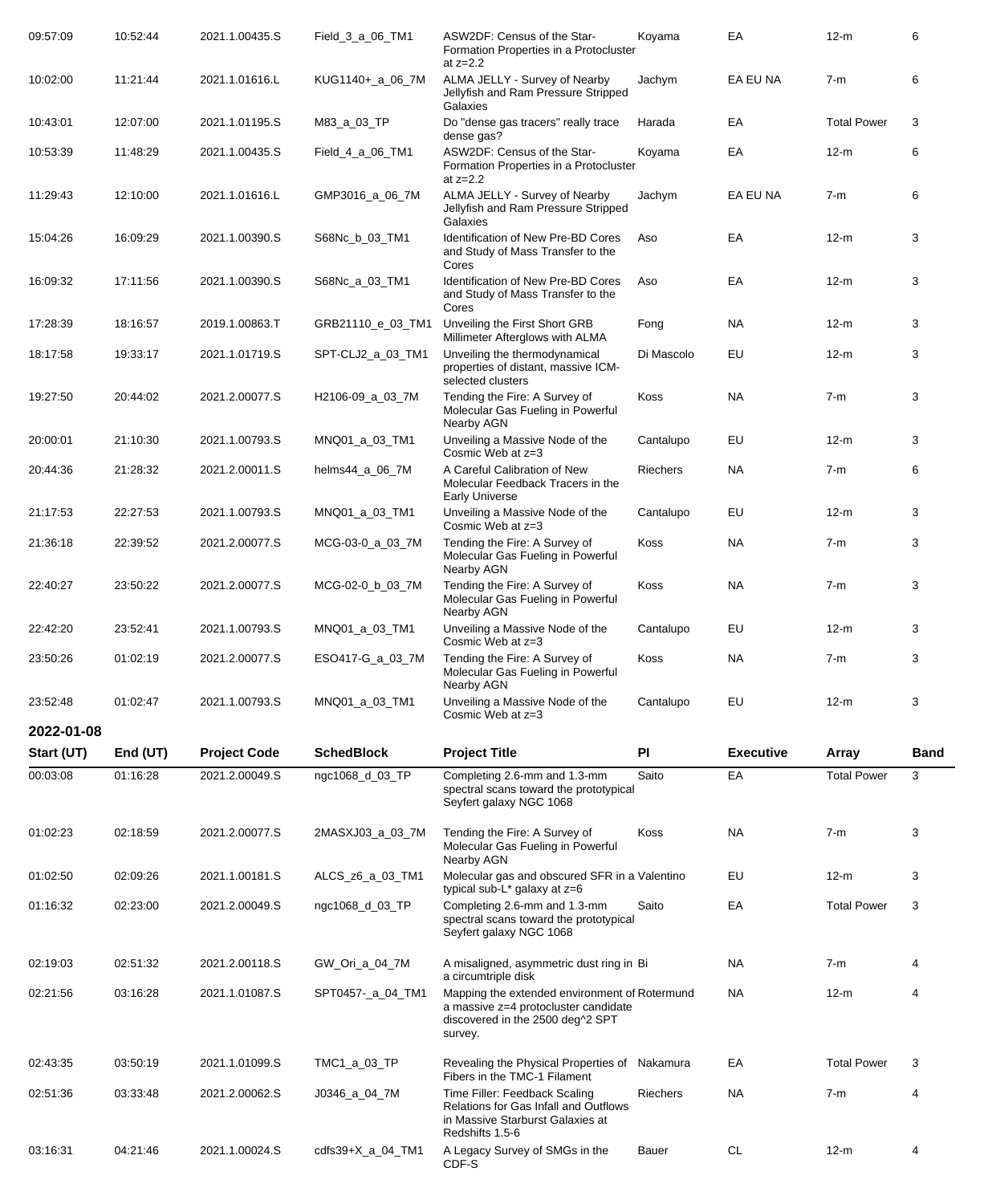| 09:57:09               | 10:52:44 | 2021.1.00435.S      | Field_3_a_06_TM1        | ASW2DF: Census of the Star-<br>Formation Properties in a Protocluster                                                                | Koyama          | EA               | $12-m$             | 6           |
|------------------------|----------|---------------------|-------------------------|--------------------------------------------------------------------------------------------------------------------------------------|-----------------|------------------|--------------------|-------------|
| 10:02:00               | 11:21:44 | 2021.1.01616.L      | KUG1140+_a_06_7M        | at $z=2.2$<br>ALMA JELLY - Survey of Nearby<br>Jellyfish and Ram Pressure Stripped<br>Galaxies                                       | Jachym          | EA EU NA         | $7-m$              | 6           |
| 10:43:01               | 12:07:00 | 2021.1.01195.S      | M83_a_03_TP             | Do "dense gas tracers" really trace<br>dense gas?                                                                                    | Harada          | EA               | <b>Total Power</b> | 3           |
| 10:53:39               | 11:48:29 | 2021.1.00435.S      | Field_4_a_06_TM1        | ASW2DF: Census of the Star-<br>Formation Properties in a Protocluster<br>at $z=2.2$                                                  | Koyama          | EA               | $12-m$             | 6           |
| 11:29:43               | 12:10:00 | 2021.1.01616.L      | GMP3016_a_06_7M         | ALMA JELLY - Survey of Nearby<br>Jellyfish and Ram Pressure Stripped<br>Galaxies                                                     | Jachym          | EA EU NA         | $7-m$              | 6           |
| 15:04:26               | 16:09:29 | 2021.1.00390.S      | S68Nc_b_03_TM1          | Identification of New Pre-BD Cores<br>and Study of Mass Transfer to the<br>Cores                                                     | Aso             | EA               | $12-m$             | 3           |
| 16:09:32               | 17:11:56 | 2021.1.00390.S      | S68Nc_a_03_TM1          | Identification of New Pre-BD Cores<br>and Study of Mass Transfer to the<br>Cores                                                     | Aso             | EA               | $12-m$             | 3           |
| 17:28:39               | 18:16:57 | 2019.1.00863.T      | GRB21110_e_03_TM1       | Unveiling the First Short GRB<br>Millimeter Afterglows with ALMA                                                                     | Fong            | <b>NA</b>        | $12-m$             | 3           |
| 18:17:58               | 19:33:17 | 2021.1.01719.S      | SPT-CLJ2_a_03_TM1       | Unveiling the thermodynamical<br>properties of distant, massive ICM-<br>selected clusters                                            | Di Mascolo      | EU               | $12-m$             | 3           |
| 19:27:50               | 20:44:02 | 2021.2.00077.S      | H2106-09_a_03_7M        | Tending the Fire: A Survey of<br>Molecular Gas Fueling in Powerful<br>Nearby AGN                                                     | Koss            | <b>NA</b>        | $7-m$              | 3           |
| 20:00:01               | 21:10:30 | 2021.1.00793.S      | MNQ01_a_03_TM1          | Unveiling a Massive Node of the<br>Cosmic Web at z=3                                                                                 | Cantalupo       | EU               | $12-m$             | 3           |
| 20:44:36               | 21:28:32 | 2021.2.00011.S      | helms44_a_06_7M         | A Careful Calibration of New<br>Molecular Feedback Tracers in the<br><b>Early Universe</b>                                           | Riechers        | <b>NA</b>        | $7-m$              | 6           |
| 21:17:53               | 22:27:53 | 2021.1.00793.S      | MNQ01_a_03_TM1          | Unveiling a Massive Node of the<br>Cosmic Web at z=3                                                                                 | Cantalupo       | EU               | $12-m$             | 3           |
| 21:36:18               | 22:39:52 | 2021.2.00077.S      | MCG-03-0_a_03_7M        | Tending the Fire: A Survey of<br>Molecular Gas Fueling in Powerful<br>Nearby AGN                                                     | Koss            | <b>NA</b>        | $7-m$              | 3           |
| 22:40:27               | 23:50:22 | 2021.2.00077.S      | MCG-02-0_b_03_7M        | Tending the Fire: A Survey of<br>Molecular Gas Fueling in Powerful<br>Nearby AGN                                                     | Koss            | <b>NA</b>        | $7-m$              | 3           |
| 22:42:20               | 23:52:41 | 2021.1.00793.S      | MNQ01_a_03_TM1          | Unveiling a Massive Node of the<br>Cosmic Web at z=3                                                                                 | Cantalupo       | EU               | $12-m$             | 3           |
| 23:50:26               | 01:02:19 | 2021.2.00077.S      | ESO417-G_a_03_7M        | Tending the Fire: A Survey of<br>Molecular Gas Fueling in Powerful<br>Nearby AGN                                                     | Koss            | <b>NA</b>        | 7-m                | 3           |
| 23:52:48<br>2022-01-08 | 01:02:47 | 2021.1.00793.S      | MNQ01_a_03_TM1          | Unveiling a Massive Node of the<br>Cosmic Web at z=3                                                                                 | Cantalupo       | EU               | $12-m$             | 3           |
| Start (UT)             | End (UT) | <b>Project Code</b> | <b>SchedBlock</b>       | <b>Project Title</b>                                                                                                                 | PI              | <b>Executive</b> | <b>Array</b>       | <b>Band</b> |
| 00:03:08               | 01:16:28 | 2021.2.00049.S      | ngc1068_d_03_TP         | Completing 2.6-mm and 1.3-mm<br>spectral scans toward the prototypical<br>Seyfert galaxy NGC 1068                                    | Saito           | EA               | <b>Total Power</b> | 3           |
| 01:02:23               | 02:18:59 | 2021.2.00077.S      | 2MASXJ03_a_03_7M        | Tending the Fire: A Survey of<br>Molecular Gas Fueling in Powerful<br>Nearby AGN                                                     | Koss            | NA.              | $7-m$              | 3           |
| 01:02:50               | 02:09:26 | 2021.1.00181.S      | ALCS_z6_a_03_TM1        | Molecular gas and obscured SFR in a Valentino<br>typical sub-L* galaxy at z=6                                                        |                 | EU               | $12-m$             | 3           |
| 01:16:32               | 02:23:00 | 2021.2.00049.S      | ngc1068_d_03_TP         | Completing 2.6-mm and 1.3-mm<br>spectral scans toward the prototypical<br>Seyfert galaxy NGC 1068                                    | Saito           | EA               | <b>Total Power</b> | 3           |
| 02:19:03               | 02:51:32 | 2021.2.00118.S      | GW_Ori_a_04_7M          | A misaligned, asymmetric dust ring in Bi<br>a circumtriple disk                                                                      |                 | <b>NA</b>        | $7-m$              | 4           |
| 02:21:56               | 03:16:28 | 2021.1.01087.S      | SPT0457-_a_04_TM1       | Mapping the extended environment of Rotermund<br>a massive z=4 protocluster candidate<br>discovered in the 2500 deg^2 SPT<br>survey. |                 | NA.              | $12-m$             | 4           |
| 02:43:35               | 03:50:19 | 2021.1.01099.S      | TMC1_a_03_TP            | Revealing the Physical Properties of Nakamura<br>Fibers in the TMC-1 Filament                                                        |                 | EA               | <b>Total Power</b> | 3           |
| 02:51:36               | 03:33:48 | 2021.2.00062.S      | J0346_a_04_7M           | Time Filler: Feedback Scaling<br><b>Relations for Gas Infall and Outflows</b><br>in Massive Starburst Galaxies at<br>Redshifts 1.5-6 | <b>Riechers</b> | NA.              | $7-m$              | 4           |
| 03:16:31               | 04:21:46 | 2021.1.00024.S      | cdfs39+ $X_a_0$ - $M_1$ | A Legacy Survey of SMGs in the<br>CDF-S                                                                                              | Bauer           | CL               | $12-m$             | 4           |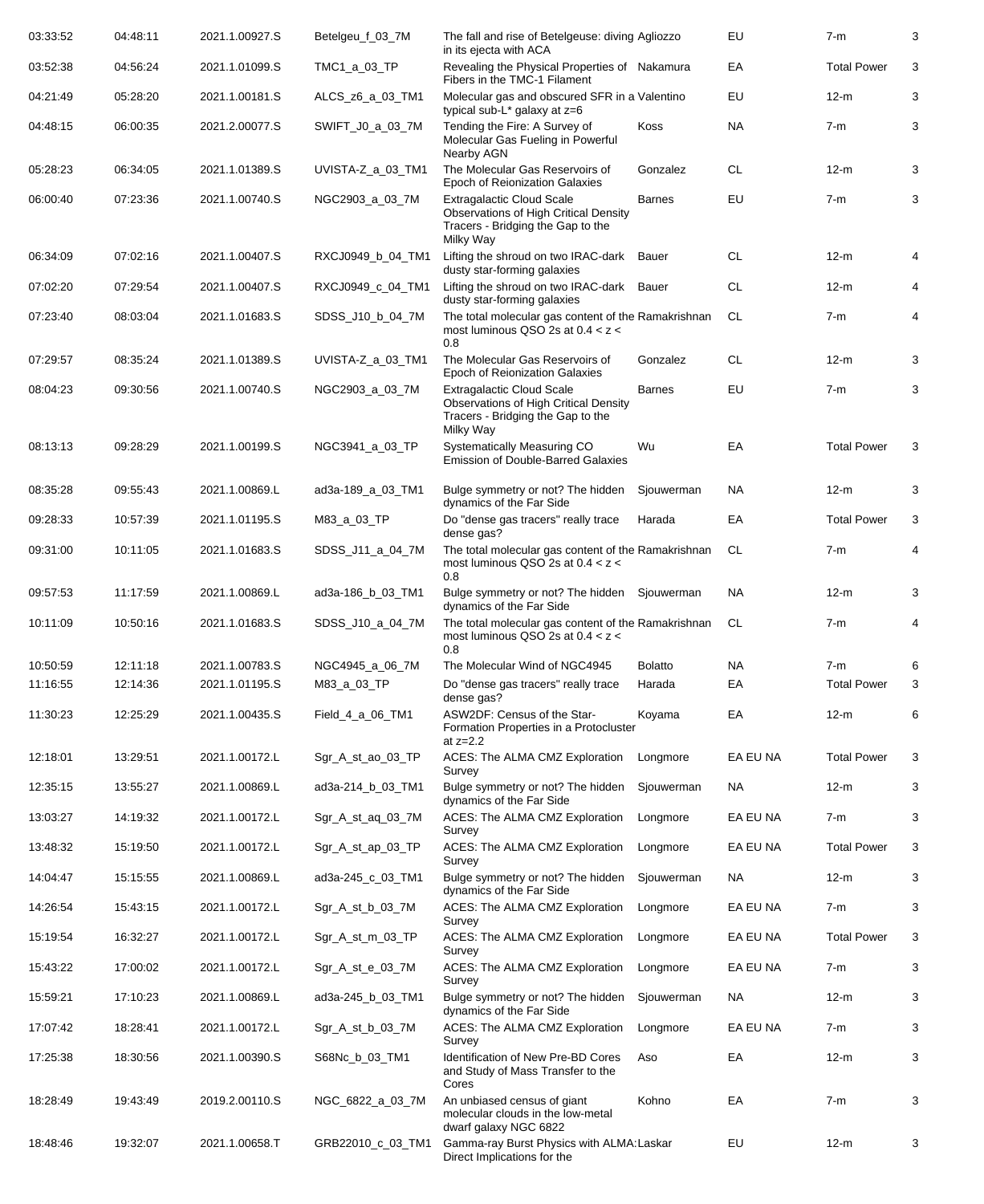| 03:33:52 | 04:48:11 | 2021.1.00927.S | Betelgeu f 03_7M  | The fall and rise of Betelgeuse: diving Agliozzo<br>in its ejecta with ACA                                                         |                | EU        | $7-m$              | 3 |
|----------|----------|----------------|-------------------|------------------------------------------------------------------------------------------------------------------------------------|----------------|-----------|--------------------|---|
| 03:52:38 | 04:56:24 | 2021.1.01099.S | TMC1_a_03_TP      | Revealing the Physical Properties of Nakamura<br>Fibers in the TMC-1 Filament                                                      |                | EA        | <b>Total Power</b> | 3 |
| 04:21:49 | 05:28:20 | 2021.1.00181.S | ALCS_z6_a_03_TM1  | Molecular gas and obscured SFR in a Valentino<br>typical sub- $L^*$ galaxy at $z=6$                                                |                | EU        | $12-m$             | 3 |
| 04:48:15 | 06:00:35 | 2021.2.00077.S | SWIFT_J0_a_03_7M  | Tending the Fire: A Survey of<br>Molecular Gas Fueling in Powerful<br>Nearby AGN                                                   | Koss           | NA        | $7-m$              | 3 |
| 05:28:23 | 06:34:05 | 2021.1.01389.S | UVISTA-Z_a_03_TM1 | The Molecular Gas Reservoirs of<br>Epoch of Reionization Galaxies                                                                  | Gonzalez       | <b>CL</b> | $12-m$             | 3 |
| 06:00:40 | 07:23:36 | 2021.1.00740.S | NGC2903_a_03_7M   | <b>Extragalactic Cloud Scale</b><br><b>Observations of High Critical Density</b><br>Tracers - Bridging the Gap to the<br>Milky Way | <b>Barnes</b>  | EU        | $7-m$              | 3 |
| 06:34:09 | 07:02:16 | 2021.1.00407.S | RXCJ0949_b_04_TM1 | Lifting the shroud on two IRAC-dark<br>dusty star-forming galaxies                                                                 | Bauer          | <b>CL</b> | $12-m$             | 4 |
| 07:02:20 | 07:29:54 | 2021.1.00407.S | RXCJ0949_c_04_TM1 | Lifting the shroud on two IRAC-dark Bauer<br>dusty star-forming galaxies                                                           |                | <b>CL</b> | $12-m$             | 4 |
| 07:23:40 | 08:03:04 | 2021.1.01683.S | SDSS_J10_b_04_7M  | The total molecular gas content of the Ramakrishnan<br>most luminous QSO 2s at $0.4 < z <$<br>0.8                                  |                | CL.       | $7-m$              | 4 |
| 07:29:57 | 08:35:24 | 2021.1.01389.S | UVISTA-Z_a_03_TM1 | The Molecular Gas Reservoirs of<br>Epoch of Reionization Galaxies                                                                  | Gonzalez       | <b>CL</b> | $12-m$             | 3 |
| 08:04:23 | 09:30:56 | 2021.1.00740.S | NGC2903_a_03_7M   | <b>Extragalactic Cloud Scale</b><br><b>Observations of High Critical Density</b><br>Tracers - Bridging the Gap to the<br>Milky Way | <b>Barnes</b>  | EU        | $7-m$              | 3 |
| 08:13:13 | 09:28:29 | 2021.1.00199.S | NGC3941_a_03_TP   | Systematically Measuring CO<br><b>Emission of Double-Barred Galaxies</b>                                                           | Wu             | EA        | <b>Total Power</b> | 3 |
| 08:35:28 | 09:55:43 | 2021.1.00869.L | ad3a-189_a_03_TM1 | Bulge symmetry or not? The hidden<br>dynamics of the Far Side                                                                      | Sjouwerman     | <b>NA</b> | $12-m$             | 3 |
| 09:28:33 | 10:57:39 | 2021.1.01195.S | M83_a_03_TP       | Do "dense gas tracers" really trace<br>dense gas?                                                                                  | Harada         | EA        | <b>Total Power</b> | 3 |
| 09:31:00 | 10:11:05 | 2021.1.01683.S | SDSS_J11_a_04_7M  | The total molecular gas content of the Ramakrishnan<br>most luminous QSO 2s at $0.4 < z <$<br>0.8                                  |                | CL.       | $7-m$              | 4 |
| 09:57:53 | 11:17:59 | 2021.1.00869.L | ad3a-186_b_03_TM1 | Bulge symmetry or not? The hidden Sjouwerman<br>dynamics of the Far Side                                                           |                | <b>NA</b> | $12-m$             | 3 |
| 10:11:09 | 10:50:16 | 2021.1.01683.S | SDSS_J10_a_04_7M  | The total molecular gas content of the Ramakrishnan<br>most luminous QSO 2s at $0.4 < z <$<br>0.8                                  |                | CL.       | $7-m$              | 4 |
| 10:50:59 | 12:11:18 | 2021.1.00783.S | NGC4945_a_06_7M   | The Molecular Wind of NGC4945                                                                                                      | <b>Bolatto</b> | <b>NA</b> | $7-m$              |   |
| 11:16:55 | 12:14:36 | 2021.1.01195.S | M83_a_03_TP       | Do "dense gas tracers" really trace<br>dense gas?                                                                                  | Harada         | EA        | <b>Total Power</b> | 3 |
| 11:30:23 | 12:25:29 | 2021.1.00435.S | Field_4_a_06_TM1  | ASW2DF: Census of the Star-<br>Formation Properties in a Protocluster<br>at $z=2.2$                                                | Koyama         | EA        | $12-m$             | 6 |
| 12:18:01 | 13:29:51 | 2021.1.00172.L | Sgr_A_st_ao_03_TP | ACES: The ALMA CMZ Exploration<br>Survey                                                                                           | Longmore       | EA EU NA  | <b>Total Power</b> | 3 |
| 12:35:15 | 13:55:27 | 2021.1.00869.L | ad3a-214_b_03_TM1 | Bulge symmetry or not? The hidden<br>dynamics of the Far Side                                                                      | Sjouwerman     | NA        | 12-m               | 3 |
| 13:03:27 | 14:19:32 | 2021.1.00172.L | Sgr_A_st_aq_03_7M | ACES: The ALMA CMZ Exploration<br>Survey                                                                                           | Longmore       | EA EU NA  | $7-m$              | 3 |
| 13:48:32 | 15:19:50 | 2021.1.00172.L | Sgr_A_st_ap_03_TP | ACES: The ALMA CMZ Exploration<br>Survey                                                                                           | Longmore       | EA EU NA  | <b>Total Power</b> | 3 |
| 14:04:47 | 15:15:55 | 2021.1.00869.L | ad3a-245_c_03_TM1 | Bulge symmetry or not? The hidden<br>dynamics of the Far Side                                                                      | Sjouwerman     | NA        | $12-m$             | 3 |
| 14:26:54 | 15:43:15 | 2021.1.00172.L | Sgr_A_st_b_03_7M  | ACES: The ALMA CMZ Exploration<br>Survey                                                                                           | Longmore       | EA EU NA  | $7-m$              | 3 |
| 15:19:54 | 16:32:27 | 2021.1.00172.L | Sgr_A_st_m_03_TP  | ACES: The ALMA CMZ Exploration<br>Survey                                                                                           | Longmore       | EA EU NA  | <b>Total Power</b> | 3 |
| 15:43:22 | 17:00:02 | 2021.1.00172.L | Sgr_A_st_e_03_7M  | ACES: The ALMA CMZ Exploration<br>Survey                                                                                           | Longmore       | EA EU NA  | $7-m$              | 3 |
| 15:59:21 | 17:10:23 | 2021.1.00869.L | ad3a-245_b_03_TM1 | Bulge symmetry or not? The hidden<br>dynamics of the Far Side                                                                      | Sjouwerman     | NA        | $12-m$             | 3 |
| 17:07:42 | 18:28:41 | 2021.1.00172.L | Sgr_A_st_b_03_7M  | ACES: The ALMA CMZ Exploration<br>Survey                                                                                           | Longmore       | EA EU NA  | $7-m$              | 3 |
| 17:25:38 | 18:30:56 | 2021.1.00390.S | S68Nc_b_03_TM1    | Identification of New Pre-BD Cores<br>and Study of Mass Transfer to the<br>Cores                                                   | Aso            | EA        | $12-m$             | 3 |
| 18:28:49 | 19:43:49 | 2019.2.00110.S | NGC_6822_a_03_7M  | An unbiased census of giant<br>molecular clouds in the low-metal<br>dwarf galaxy NGC 6822                                          | Kohno          | EA        | $7-m$              | 3 |
| 18:48:46 | 19:32:07 | 2021.1.00658.T | GRB22010_c_03_TM1 | Gamma-ray Burst Physics with ALMA: Laskar<br>Direct Implications for the                                                           |                | EU        | $12-m$             | 3 |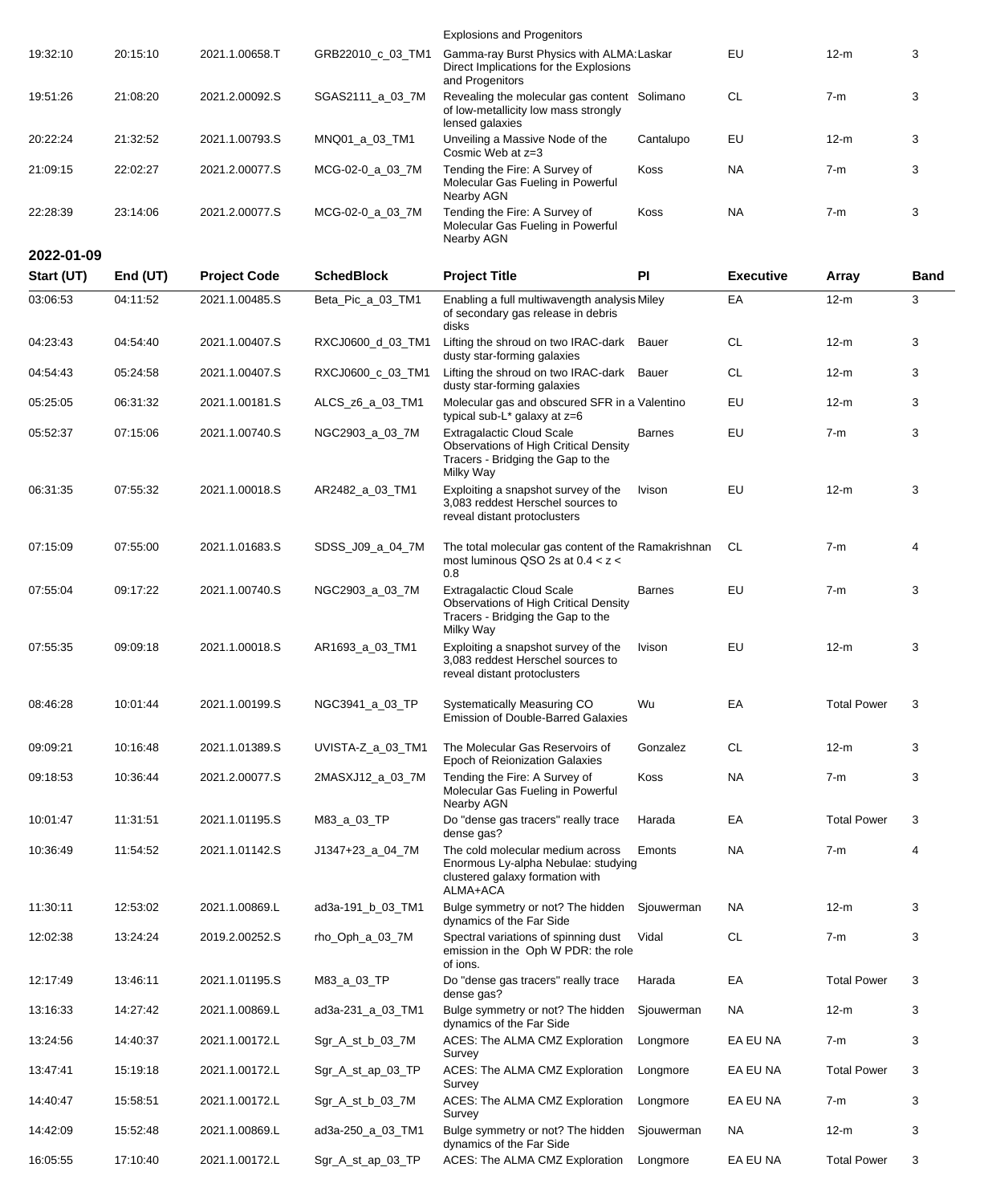|            |          |                     |                   | <b>Explosions and Progenitors</b>                                                                                                  |               |                  |                    |             |
|------------|----------|---------------------|-------------------|------------------------------------------------------------------------------------------------------------------------------------|---------------|------------------|--------------------|-------------|
| 19:32:10   | 20:15:10 | 2021.1.00658.T      | GRB22010_c_03_TM1 | Gamma-ray Burst Physics with ALMA: Laskar<br>Direct Implications for the Explosions<br>and Progenitors                             |               | EU               | $12-m$             | 3           |
| 19:51:26   | 21:08:20 | 2021.2.00092.S      | SGAS2111_a_03_7M  | Revealing the molecular gas content Solimano<br>of low-metallicity low mass strongly<br>lensed galaxies                            |               | <b>CL</b>        | $7-m$              | 3           |
| 20:22:24   | 21:32:52 | 2021.1.00793.S      | MNQ01_a_03_TM1    | Unveiling a Massive Node of the<br>Cosmic Web at z=3                                                                               | Cantalupo     | EU               | 12-m               | 3           |
| 21:09:15   | 22:02:27 | 2021.2.00077.S      | MCG-02-0_a_03_7M  | Tending the Fire: A Survey of<br>Molecular Gas Fueling in Powerful<br>Nearby AGN                                                   | Koss          | NA               | $7-m$              | 3           |
| 22:28:39   | 23:14:06 | 2021.2.00077.S      | MCG-02-0_a_03_7M  | Tending the Fire: A Survey of<br>Molecular Gas Fueling in Powerful                                                                 | Koss          | <b>NA</b>        | $7-m$              | 3           |
| 2022-01-09 |          |                     |                   | Nearby AGN                                                                                                                         |               |                  |                    |             |
| Start (UT) | End (UT) | <b>Project Code</b> | <b>SchedBlock</b> | <b>Project Title</b>                                                                                                               | PI            | <b>Executive</b> | <b>Array</b>       | <b>Band</b> |
| 03:06:53   | 04:11:52 | 2021.1.00485.S      | Beta_Pic_a_03_TM1 | Enabling a full multiwavength analysis Miley                                                                                       |               | EA               | $12-m$             | 3           |
|            |          |                     |                   | of secondary gas release in debris<br>disks                                                                                        |               |                  |                    |             |
| 04:23:43   | 04:54:40 | 2021.1.00407.S      | RXCJ0600_d_03_TM1 | Lifting the shroud on two IRAC-dark Bauer<br>dusty star-forming galaxies                                                           |               | <b>CL</b>        | $12-m$             | 3           |
| 04:54:43   | 05:24:58 | 2021.1.00407.S      | RXCJ0600_c_03_TM1 | Lifting the shroud on two IRAC-dark Bauer<br>dusty star-forming galaxies                                                           |               | <b>CL</b>        | $12-m$             | 3           |
| 05:25:05   | 06:31:32 | 2021.1.00181.S      | ALCS_z6_a_03_TM1  | Molecular gas and obscured SFR in a Valentino<br>typical sub-L* galaxy at z=6                                                      |               | EU               | $12-m$             | 3           |
| 05:52:37   | 07:15:06 | 2021.1.00740.S      | NGC2903_a_03_7M   | <b>Extragalactic Cloud Scale</b><br><b>Observations of High Critical Density</b><br>Tracers - Bridging the Gap to the<br>Milky Way | <b>Barnes</b> | EU               | $7-m$              | 3           |
| 06:31:35   | 07:55:32 | 2021.1.00018.S      | AR2482_a_03_TM1   | Exploiting a snapshot survey of the<br>3,083 reddest Herschel sources to<br>reveal distant protoclusters                           | Ivison        | EU               | $12-m$             | 3           |
| 07:15:09   | 07:55:00 | 2021.1.01683.S      | SDSS_J09_a_04_7M  | The total molecular gas content of the Ramakrishnan<br>most luminous QSO 2s at $0.4 < z <$<br>0.8                                  |               | CL               | $7-m$              | 4           |
| 07:55:04   | 09:17:22 | 2021.1.00740.S      | NGC2903_a_03_7M   | <b>Extragalactic Cloud Scale</b><br><b>Observations of High Critical Density</b><br>Tracers - Bridging the Gap to the<br>Milky Way | <b>Barnes</b> | EU               | $7-m$              | 3           |
| 07:55:35   | 09:09:18 | 2021.1.00018.S      | AR1693_a_03_TM1   | Exploiting a snapshot survey of the<br>3,083 reddest Herschel sources to<br>reveal distant protoclusters                           | Ivison        | EU               | $12-m$             | 3           |
| 08:46:28   | 10:01:44 | 2021.1.00199.S      | NGC3941_a_03_TP   | Systematically Measuring CO<br><b>Emission of Double-Barred Galaxies</b>                                                           | Wu            | EA               | <b>Total Power</b> | 3           |
| 09:09:21   | 10:16:48 | 2021.1.01389.S      | UVISTA-Z_a_03_TM1 | The Molecular Gas Reservoirs of<br>Epoch of Reionization Galaxies                                                                  | Gonzalez      | CL               | $12-m$             | 3           |
| 09:18:53   | 10:36:44 | 2021.2.00077.S      | 2MASXJ12_a_03_7M  | Tending the Fire: A Survey of<br>Molecular Gas Fueling in Powerful<br>Nearby AGN                                                   | Koss          | NA               | $7-m$              | 3           |
| 10:01:47   | 11:31:51 | 2021.1.01195.S      | M83_a_03_TP       | Do "dense gas tracers" really trace<br>dense gas?                                                                                  | Harada        | EA               | <b>Total Power</b> | 3           |
| 10:36:49   | 11:54:52 | 2021.1.01142.S      | J1347+23_a_04_7M  | The cold molecular medium across<br>Enormous Ly-alpha Nebulae: studying<br>clustered galaxy formation with<br>ALMA+ACA             | Emonts        | NA               | $7-m$              | 4           |
| 11:30:11   | 12:53:02 | 2021.1.00869.L      | ad3a-191_b_03_TM1 | Bulge symmetry or not? The hidden<br>dynamics of the Far Side                                                                      | Sjouwerman    | <b>NA</b>        | $12-m$             | 3           |
| 12:02:38   | 13:24:24 | 2019.2.00252.S      | rho_Oph_a_03_7M   | Spectral variations of spinning dust<br>emission in the Oph W PDR: the role<br>of ions.                                            | Vidal         | <b>CL</b>        | 7-m                | 3           |
| 12:17:49   | 13:46:11 | 2021.1.01195.S      | M83_a_03_TP       | Do "dense gas tracers" really trace<br>dense gas?                                                                                  | Harada        | EA               | <b>Total Power</b> | 3           |
| 13:16:33   | 14:27:42 | 2021.1.00869.L      | ad3a-231_a_03_TM1 | Bulge symmetry or not? The hidden<br>dynamics of the Far Side                                                                      | Sjouwerman    | <b>NA</b>        | $12-m$             | 3           |
| 13:24:56   | 14:40:37 | 2021.1.00172.L      | Sgr_A_st_b_03_7M  | ACES: The ALMA CMZ Exploration<br>Survey                                                                                           | Longmore      | EA EU NA         | $7-m$              | 3           |
| 13:47:41   | 15:19:18 | 2021.1.00172.L      | Sgr_A_st_ap_03_TP | ACES: The ALMA CMZ Exploration<br>Survey                                                                                           | Longmore      | EA EU NA         | <b>Total Power</b> | 3           |
| 14:40:47   | 15:58:51 | 2021.1.00172.L      | Sgr_A_st_b_03_7M  | ACES: The ALMA CMZ Exploration<br>Survey                                                                                           | Longmore      | EA EU NA         | $7-m$              | 3           |
| 14:42:09   | 15:52:48 | 2021.1.00869.L      | ad3a-250_a_03_TM1 | Bulge symmetry or not? The hidden<br>dynamics of the Far Side                                                                      | Sjouwerman    | <b>NA</b>        | $12-m$             | 3           |
| 16:05:55   | 17:10:40 | 2021.1.00172.L      | Sgr_A_st_ap_03_TP | ACES: The ALMA CMZ Exploration                                                                                                     | Longmore      | EA EU NA         | <b>Total Power</b> | 3           |